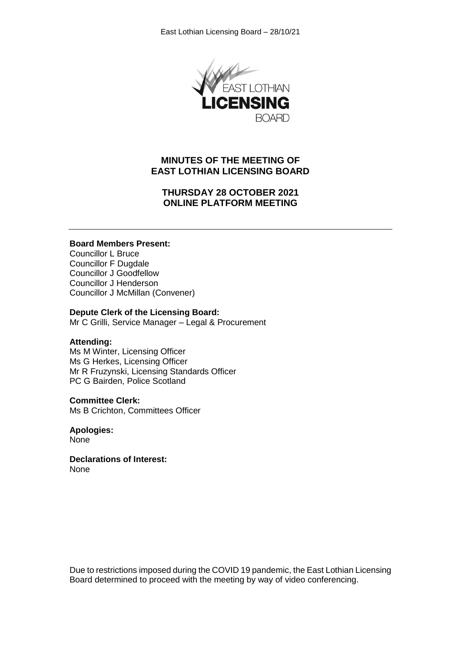

# **MINUTES OF THE MEETING OF EAST LOTHIAN LICENSING BOARD**

# **THURSDAY 28 OCTOBER 2021 ONLINE PLATFORM MEETING**

#### **Board Members Present:**

Councillor L Bruce Councillor F Dugdale Councillor J Goodfellow Councillor J Henderson Councillor J McMillan (Convener)

#### **Depute Clerk of the Licensing Board:**

Mr C Grilli, Service Manager – Legal & Procurement

#### **Attending:**

Ms M Winter, Licensing Officer Ms G Herkes, Licensing Officer Mr R Fruzynski, Licensing Standards Officer PC G Bairden, Police Scotland

#### **Committee Clerk:**

Ms B Crichton, Committees Officer

**Apologies: None** 

**Declarations of Interest:** None

Due to restrictions imposed during the COVID 19 pandemic, the East Lothian Licensing Board determined to proceed with the meeting by way of video conferencing.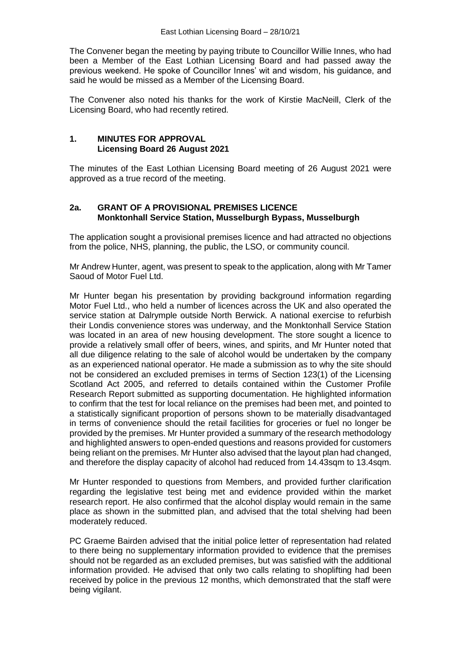The Convener began the meeting by paying tribute to Councillor Willie Innes, who had been a Member of the East Lothian Licensing Board and had passed away the previous weekend. He spoke of Councillor Innes' wit and wisdom, his guidance, and said he would be missed as a Member of the Licensing Board.

The Convener also noted his thanks for the work of Kirstie MacNeill, Clerk of the Licensing Board, who had recently retired.

### **1. MINUTES FOR APPROVAL Licensing Board 26 August 2021**

The minutes of the East Lothian Licensing Board meeting of 26 August 2021 were approved as a true record of the meeting.

### **2a. GRANT OF A PROVISIONAL PREMISES LICENCE Monktonhall Service Station, Musselburgh Bypass, Musselburgh**

The application sought a provisional premises licence and had attracted no objections from the police, NHS, planning, the public, the LSO, or community council.

Mr Andrew Hunter, agent, was present to speak to the application, along with Mr Tamer Saoud of Motor Fuel Ltd.

Mr Hunter began his presentation by providing background information regarding Motor Fuel Ltd., who held a number of licences across the UK and also operated the service station at Dalrymple outside North Berwick. A national exercise to refurbish their Londis convenience stores was underway, and the Monktonhall Service Station was located in an area of new housing development. The store sought a licence to provide a relatively small offer of beers, wines, and spirits, and Mr Hunter noted that all due diligence relating to the sale of alcohol would be undertaken by the company as an experienced national operator. He made a submission as to why the site should not be considered an excluded premises in terms of Section 123(1) of the Licensing Scotland Act 2005, and referred to details contained within the Customer Profile Research Report submitted as supporting documentation. He highlighted information to confirm that the test for local reliance on the premises had been met, and pointed to a statistically significant proportion of persons shown to be materially disadvantaged in terms of convenience should the retail facilities for groceries or fuel no longer be provided by the premises. Mr Hunter provided a summary of the research methodology and highlighted answers to open-ended questions and reasons provided for customers being reliant on the premises. Mr Hunter also advised that the layout plan had changed, and therefore the display capacity of alcohol had reduced from 14.43sqm to 13.4sqm.

Mr Hunter responded to questions from Members, and provided further clarification regarding the legislative test being met and evidence provided within the market research report. He also confirmed that the alcohol display would remain in the same place as shown in the submitted plan, and advised that the total shelving had been moderately reduced.

PC Graeme Bairden advised that the initial police letter of representation had related to there being no supplementary information provided to evidence that the premises should not be regarded as an excluded premises, but was satisfied with the additional information provided. He advised that only two calls relating to shoplifting had been received by police in the previous 12 months, which demonstrated that the staff were being vigilant.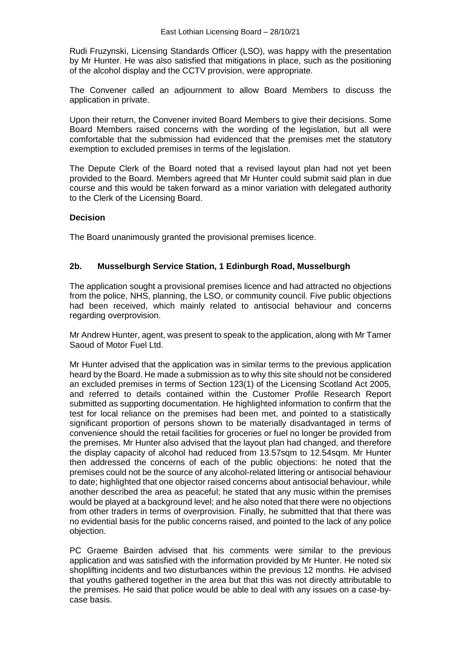Rudi Fruzynski, Licensing Standards Officer (LSO), was happy with the presentation by Mr Hunter. He was also satisfied that mitigations in place, such as the positioning of the alcohol display and the CCTV provision, were appropriate.

The Convener called an adjournment to allow Board Members to discuss the application in private.

Upon their return, the Convener invited Board Members to give their decisions. Some Board Members raised concerns with the wording of the legislation, but all were comfortable that the submission had evidenced that the premises met the statutory exemption to excluded premises in terms of the legislation.

The Depute Clerk of the Board noted that a revised layout plan had not yet been provided to the Board. Members agreed that Mr Hunter could submit said plan in due course and this would be taken forward as a minor variation with delegated authority to the Clerk of the Licensing Board.

### **Decision**

The Board unanimously granted the provisional premises licence.

### **2b. Musselburgh Service Station, 1 Edinburgh Road, Musselburgh**

The application sought a provisional premises licence and had attracted no objections from the police, NHS, planning, the LSO, or community council. Five public objections had been received, which mainly related to antisocial behaviour and concerns regarding overprovision.

Mr Andrew Hunter, agent, was present to speak to the application, along with Mr Tamer Saoud of Motor Fuel Ltd.

Mr Hunter advised that the application was in similar terms to the previous application heard by the Board. He made a submission as to why this site should not be considered an excluded premises in terms of Section 123(1) of the Licensing Scotland Act 2005, and referred to details contained within the Customer Profile Research Report submitted as supporting documentation. He highlighted information to confirm that the test for local reliance on the premises had been met, and pointed to a statistically significant proportion of persons shown to be materially disadvantaged in terms of convenience should the retail facilities for groceries or fuel no longer be provided from the premises. Mr Hunter also advised that the layout plan had changed, and therefore the display capacity of alcohol had reduced from 13.57sqm to 12.54sqm. Mr Hunter then addressed the concerns of each of the public objections: he noted that the premises could not be the source of any alcohol-related littering or antisocial behaviour to date; highlighted that one objector raised concerns about antisocial behaviour, while another described the area as peaceful; he stated that any music within the premises would be played at a background level; and he also noted that there were no objections from other traders in terms of overprovision. Finally, he submitted that that there was no evidential basis for the public concerns raised, and pointed to the lack of any police objection.

PC Graeme Bairden advised that his comments were similar to the previous application and was satisfied with the information provided by Mr Hunter. He noted six shoplifting incidents and two disturbances within the previous 12 months. He advised that youths gathered together in the area but that this was not directly attributable to the premises. He said that police would be able to deal with any issues on a case-bycase basis.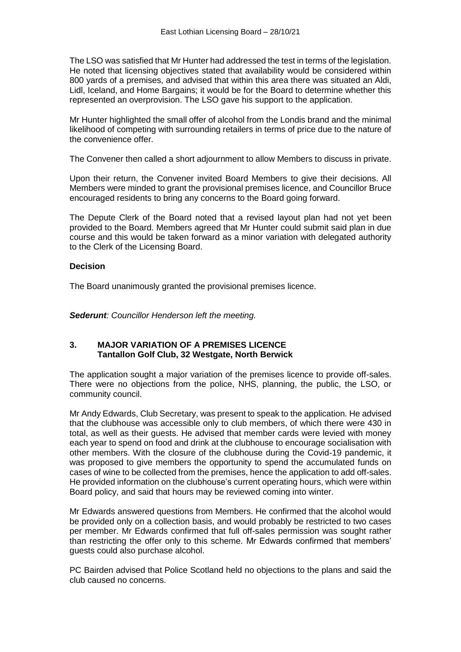The LSO was satisfied that Mr Hunter had addressed the test in terms of the legislation. He noted that licensing objectives stated that availability would be considered within 800 yards of a premises, and advised that within this area there was situated an Aldi, Lidl, Iceland, and Home Bargains; it would be for the Board to determine whether this represented an overprovision. The LSO gave his support to the application.

Mr Hunter highlighted the small offer of alcohol from the Londis brand and the minimal likelihood of competing with surrounding retailers in terms of price due to the nature of the convenience offer.

The Convener then called a short adjournment to allow Members to discuss in private.

Upon their return, the Convener invited Board Members to give their decisions. All Members were minded to grant the provisional premises licence, and Councillor Bruce encouraged residents to bring any concerns to the Board going forward.

The Depute Clerk of the Board noted that a revised layout plan had not yet been provided to the Board. Members agreed that Mr Hunter could submit said plan in due course and this would be taken forward as a minor variation with delegated authority to the Clerk of the Licensing Board.

#### **Decision**

The Board unanimously granted the provisional premises licence.

*Sederunt: Councillor Henderson left the meeting.* 

#### **3. MAJOR VARIATION OF A PREMISES LICENCE Tantallon Golf Club, 32 Westgate, North Berwick**

The application sought a major variation of the premises licence to provide off-sales. There were no objections from the police, NHS, planning, the public, the LSO, or community council.

Mr Andy Edwards, Club Secretary, was present to speak to the application. He advised that the clubhouse was accessible only to club members, of which there were 430 in total, as well as their guests. He advised that member cards were levied with money each year to spend on food and drink at the clubhouse to encourage socialisation with other members. With the closure of the clubhouse during the Covid-19 pandemic, it was proposed to give members the opportunity to spend the accumulated funds on cases of wine to be collected from the premises, hence the application to add off-sales. He provided information on the clubhouse's current operating hours, which were within Board policy, and said that hours may be reviewed coming into winter.

Mr Edwards answered questions from Members. He confirmed that the alcohol would be provided only on a collection basis, and would probably be restricted to two cases per member. Mr Edwards confirmed that full off-sales permission was sought rather than restricting the offer only to this scheme. Mr Edwards confirmed that members' guests could also purchase alcohol.

PC Bairden advised that Police Scotland held no objections to the plans and said the club caused no concerns.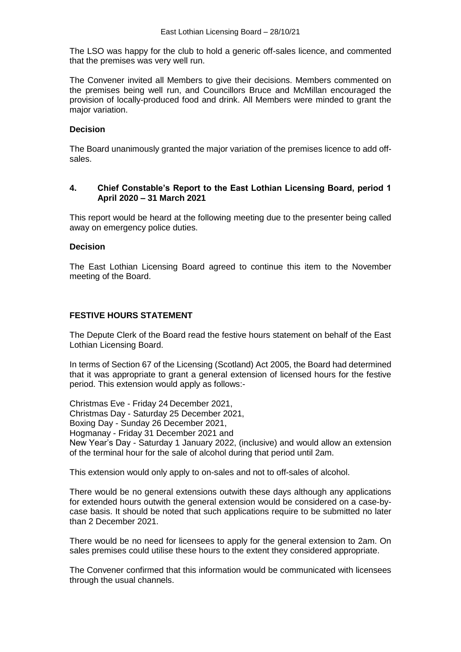The LSO was happy for the club to hold a generic off-sales licence, and commented that the premises was very well run.

The Convener invited all Members to give their decisions. Members commented on the premises being well run, and Councillors Bruce and McMillan encouraged the provision of locally-produced food and drink. All Members were minded to grant the major variation.

### **Decision**

The Board unanimously granted the major variation of the premises licence to add offsales.

### **4. Chief Constable's Report to the East Lothian Licensing Board, period 1 April 2020 – 31 March 2021**

This report would be heard at the following meeting due to the presenter being called away on emergency police duties.

#### **Decision**

The East Lothian Licensing Board agreed to continue this item to the November meeting of the Board.

## **FESTIVE HOURS STATEMENT**

The Depute Clerk of the Board read the festive hours statement on behalf of the East Lothian Licensing Board.

In terms of Section 67 of the Licensing (Scotland) Act 2005, the Board had determined that it was appropriate to grant a general extension of licensed hours for the festive period. This extension would apply as follows:-

Christmas Eve - Friday 24 December 2021, Christmas Day - Saturday 25 December 2021, Boxing Day - Sunday 26 December 2021, Hogmanay - Friday 31 December 2021 and New Year's Day - Saturday 1 January 2022, (inclusive) and would allow an extension of the terminal hour for the sale of alcohol during that period until 2am.

This extension would only apply to on-sales and not to off-sales of alcohol.

There would be no general extensions outwith these days although any applications for extended hours outwith the general extension would be considered on a case-bycase basis. It should be noted that such applications require to be submitted no later than 2 December 2021.

There would be no need for licensees to apply for the general extension to 2am. On sales premises could utilise these hours to the extent they considered appropriate.

The Convener confirmed that this information would be communicated with licensees through the usual channels.